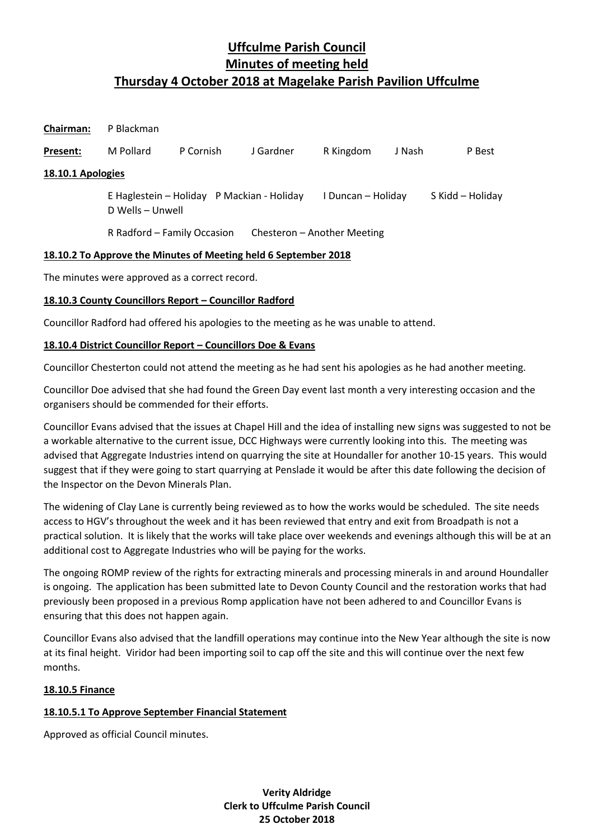| <b>Chairman:</b>  | P Blackman                                                     |           |           |                    |        |                  |
|-------------------|----------------------------------------------------------------|-----------|-----------|--------------------|--------|------------------|
| Present:          | M Pollard                                                      | P Cornish | J Gardner | R Kingdom          | J Nash | P Best           |
| 18.10.1 Apologies |                                                                |           |           |                    |        |                  |
|                   | E Haglestein - Holiday P Mackian - Holiday<br>D Wells - Unwell |           |           | I Duncan – Holiday |        | S Kidd - Holiday |
|                   | R Radford - Family Occasion<br>Chesteron - Another Meeting     |           |           |                    |        |                  |

# **18.10.2 To Approve the Minutes of Meeting held 6 September 2018**

The minutes were approved as a correct record.

# **18.10.3 County Councillors Report – Councillor Radford**

Councillor Radford had offered his apologies to the meeting as he was unable to attend.

# **18.10.4 District Councillor Report – Councillors Doe & Evans**

Councillor Chesterton could not attend the meeting as he had sent his apologies as he had another meeting.

Councillor Doe advised that she had found the Green Day event last month a very interesting occasion and the organisers should be commended for their efforts.

Councillor Evans advised that the issues at Chapel Hill and the idea of installing new signs was suggested to not be a workable alternative to the current issue, DCC Highways were currently looking into this. The meeting was advised that Aggregate Industries intend on quarrying the site at Houndaller for another 10-15 years. This would suggest that if they were going to start quarrying at Penslade it would be after this date following the decision of the Inspector on the Devon Minerals Plan.

The widening of Clay Lane is currently being reviewed as to how the works would be scheduled. The site needs access to HGV's throughout the week and it has been reviewed that entry and exit from Broadpath is not a practical solution. It is likely that the works will take place over weekends and evenings although this will be at an additional cost to Aggregate Industries who will be paying for the works.

The ongoing ROMP review of the rights for extracting minerals and processing minerals in and around Houndaller is ongoing. The application has been submitted late to Devon County Council and the restoration works that had previously been proposed in a previous Romp application have not been adhered to and Councillor Evans is ensuring that this does not happen again.

Councillor Evans also advised that the landfill operations may continue into the New Year although the site is now at its final height. Viridor had been importing soil to cap off the site and this will continue over the next few months.

# **18.10.5 Finance**

# **18.10.5.1 To Approve September Financial Statement**

Approved as official Council minutes.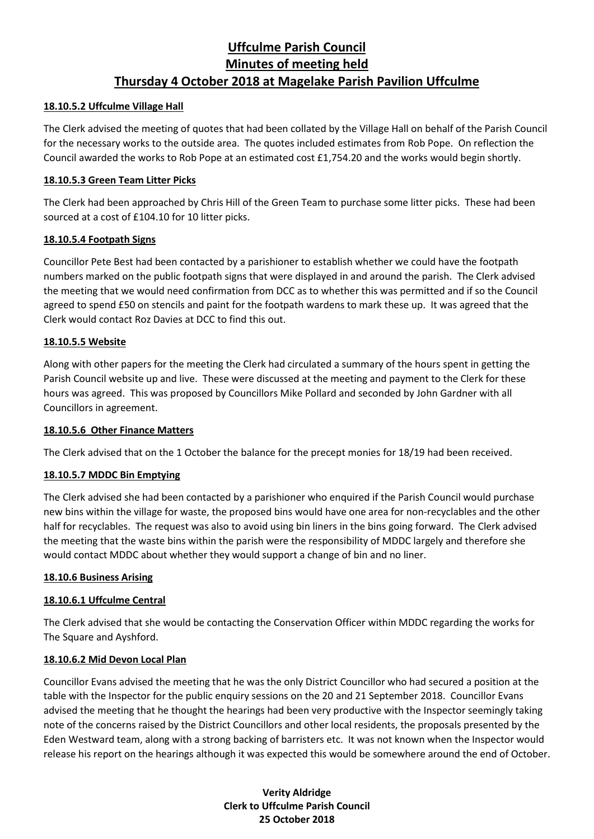#### **18.10.5.2 Uffculme Village Hall**

The Clerk advised the meeting of quotes that had been collated by the Village Hall on behalf of the Parish Council for the necessary works to the outside area. The quotes included estimates from Rob Pope. On reflection the Council awarded the works to Rob Pope at an estimated cost £1,754.20 and the works would begin shortly.

#### **18.10.5.3 Green Team Litter Picks**

The Clerk had been approached by Chris Hill of the Green Team to purchase some litter picks. These had been sourced at a cost of £104.10 for 10 litter picks.

# **18.10.5.4 Footpath Signs**

Councillor Pete Best had been contacted by a parishioner to establish whether we could have the footpath numbers marked on the public footpath signs that were displayed in and around the parish. The Clerk advised the meeting that we would need confirmation from DCC as to whether this was permitted and if so the Council agreed to spend £50 on stencils and paint for the footpath wardens to mark these up. It was agreed that the Clerk would contact Roz Davies at DCC to find this out.

#### **18.10.5.5 Website**

Along with other papers for the meeting the Clerk had circulated a summary of the hours spent in getting the Parish Council website up and live. These were discussed at the meeting and payment to the Clerk for these hours was agreed. This was proposed by Councillors Mike Pollard and seconded by John Gardner with all Councillors in agreement.

#### **18.10.5.6 Other Finance Matters**

The Clerk advised that on the 1 October the balance for the precept monies for 18/19 had been received.

# **18.10.5.7 MDDC Bin Emptying**

The Clerk advised she had been contacted by a parishioner who enquired if the Parish Council would purchase new bins within the village for waste, the proposed bins would have one area for non-recyclables and the other half for recyclables. The request was also to avoid using bin liners in the bins going forward. The Clerk advised the meeting that the waste bins within the parish were the responsibility of MDDC largely and therefore she would contact MDDC about whether they would support a change of bin and no liner.

#### **18.10.6 Business Arising**

# **18.10.6.1 Uffculme Central**

The Clerk advised that she would be contacting the Conservation Officer within MDDC regarding the works for The Square and Ayshford.

# **18.10.6.2 Mid Devon Local Plan**

Councillor Evans advised the meeting that he was the only District Councillor who had secured a position at the table with the Inspector for the public enquiry sessions on the 20 and 21 September 2018. Councillor Evans advised the meeting that he thought the hearings had been very productive with the Inspector seemingly taking note of the concerns raised by the District Councillors and other local residents, the proposals presented by the Eden Westward team, along with a strong backing of barristers etc. It was not known when the Inspector would release his report on the hearings although it was expected this would be somewhere around the end of October.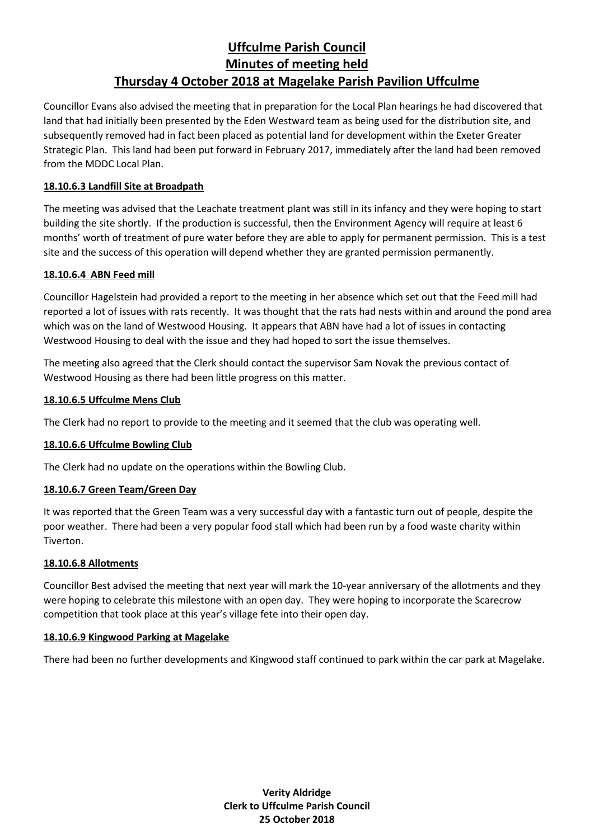Councillor Evans also advised the meeting that in preparation for the Local Plan hearings he had discovered that land that had initially been presented by the Eden Westward team as being used for the distribution site, and subsequently removed had in fact been placed as potential land for development within the Exeter Greater Strategic Plan. This land had been put forward in February 2017, immediately after the land had been removed from the MDDC Local Plan.

# **18.10.6.3 Landfill Site at Broadpath**

The meeting was advised that the Leachate treatment plant was still in its infancy and they were hoping to start building the site shortly. If the production is successful, then the Environment Agency will require at least 6 months' worth of treatment of pure water before they are able to apply for permanent permission. This is a test site and the success of this operation will depend whether they are granted permission permanently.

# **18.10.6.4 ABN Feed mill**

Councillor Hagelstein had provided a report to the meeting in her absence which set out that the Feed mill had reported a lot of issues with rats recently. It was thought that the rats had nests within and around the pond area which was on the land of Westwood Housing. It appears that ABN have had a lot of issues in contacting Westwood Housing to deal with the issue and they had hoped to sort the issue themselves.

The meeting also agreed that the Clerk should contact the supervisor Sam Novak the previous contact of Westwood Housing as there had been little progress on this matter.

# **18.10.6.5 Uffculme Mens Club**

The Clerk had no report to provide to the meeting and it seemed that the club was operating well.

# **18.10.6.6 Uffculme Bowling Club**

The Clerk had no update on the operations within the Bowling Club.

#### **18.10.6.7 Green Team/Green Day**

It was reported that the Green Team was a very successful day with a fantastic turn out of people, despite the poor weather. There had been a very popular food stall which had been run by a food waste charity within Tiverton.

#### **18.10.6.8 Allotments**

Councillor Best advised the meeting that next year will mark the 10-year anniversary of the allotments and they were hoping to celebrate this milestone with an open day. They were hoping to incorporate the Scarecrow competition that took place at this year's village fete into their open day.

#### **18.10.6.9 Kingwood Parking at Magelake**

There had been no further developments and Kingwood staff continued to park within the car park at Magelake.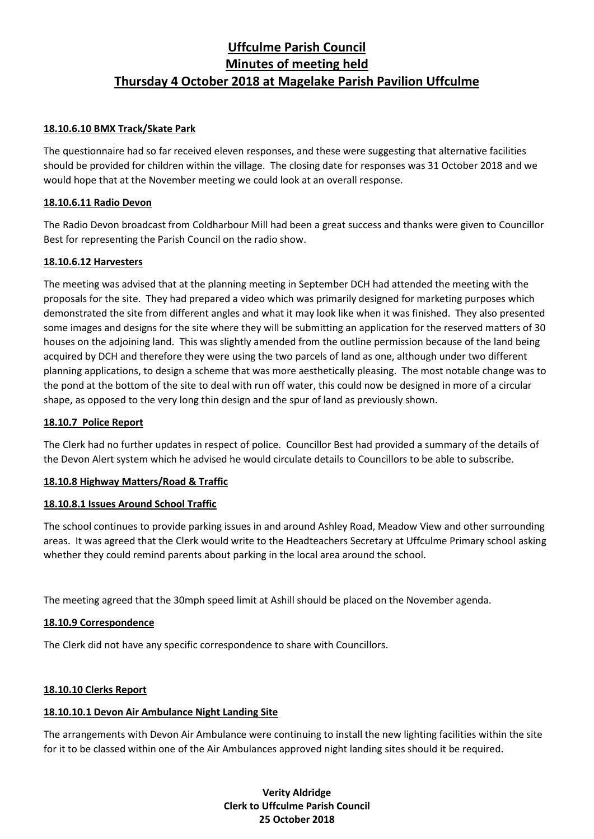# **18.10.6.10 BMX Track/Skate Park**

The questionnaire had so far received eleven responses, and these were suggesting that alternative facilities should be provided for children within the village. The closing date for responses was 31 October 2018 and we would hope that at the November meeting we could look at an overall response.

#### **18.10.6.11 Radio Devon**

The Radio Devon broadcast from Coldharbour Mill had been a great success and thanks were given to Councillor Best for representing the Parish Council on the radio show.

#### **18.10.6.12 Harvesters**

The meeting was advised that at the planning meeting in September DCH had attended the meeting with the proposals for the site. They had prepared a video which was primarily designed for marketing purposes which demonstrated the site from different angles and what it may look like when it was finished. They also presented some images and designs for the site where they will be submitting an application for the reserved matters of 30 houses on the adjoining land. This was slightly amended from the outline permission because of the land being acquired by DCH and therefore they were using the two parcels of land as one, although under two different planning applications, to design a scheme that was more aesthetically pleasing. The most notable change was to the pond at the bottom of the site to deal with run off water, this could now be designed in more of a circular shape, as opposed to the very long thin design and the spur of land as previously shown.

#### **18.10.7 Police Report**

The Clerk had no further updates in respect of police. Councillor Best had provided a summary of the details of the Devon Alert system which he advised he would circulate details to Councillors to be able to subscribe.

# **18.10.8 Highway Matters/Road & Traffic**

# **18.10.8.1 Issues Around School Traffic**

The school continues to provide parking issues in and around Ashley Road, Meadow View and other surrounding areas. It was agreed that the Clerk would write to the Headteachers Secretary at Uffculme Primary school asking whether they could remind parents about parking in the local area around the school.

The meeting agreed that the 30mph speed limit at Ashill should be placed on the November agenda.

# **18.10.9 Correspondence**

The Clerk did not have any specific correspondence to share with Councillors.

# **18.10.10 Clerks Report**

# **18.10.10.1 Devon Air Ambulance Night Landing Site**

The arrangements with Devon Air Ambulance were continuing to install the new lighting facilities within the site for it to be classed within one of the Air Ambulances approved night landing sites should it be required.